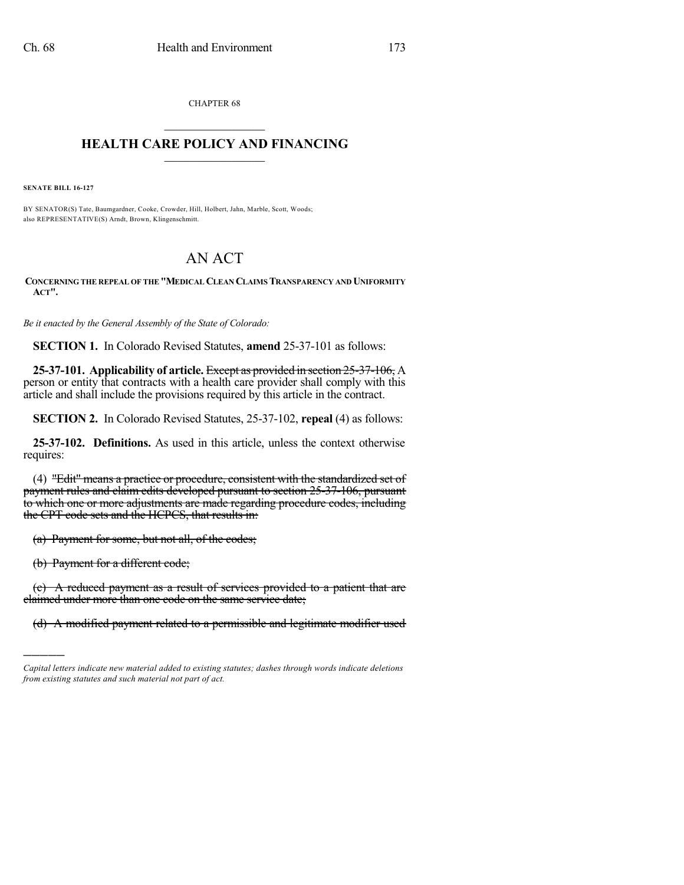CHAPTER 68  $\overline{\phantom{a}}$  . The set of the set of the set of the set of the set of the set of the set of the set of the set of the set of the set of the set of the set of the set of the set of the set of the set of the set of the set o

## **HEALTH CARE POLICY AND FINANCING**  $\_$   $\_$   $\_$   $\_$   $\_$   $\_$   $\_$   $\_$

**SENATE BILL 16-127**

BY SENATOR(S) Tate, Baumgardner, Cooke, Crowder, Hill, Holbert, Jahn, Marble, Scott, Woods; also REPRESENTATIVE(S) Arndt, Brown, Klingenschmitt.

## AN ACT

**CONCERNING THE REPEAL OF THE "MEDICAL CLEAN CLAIMS TRANSPARENCY AND UNIFORMITY ACT".**

*Be it enacted by the General Assembly of the State of Colorado:*

**SECTION 1.** In Colorado Revised Statutes, **amend** 25-37-101 as follows:

**25-37-101. Applicability of article.** Except as provided in section 25-37-106, A person or entity that contracts with a health care provider shall comply with this article and shall include the provisions required by this article in the contract.

**SECTION 2.** In Colorado Revised Statutes, 25-37-102, **repeal** (4) as follows:

**25-37-102. Definitions.** As used in this article, unless the context otherwise requires:

(4) "Edit" means a practice or procedure, consistent with the standardized set of payment rules and claim edits developed pursuant to section 25-37-106, pursuant to which one or more adjustments are made regarding procedure codes, including the CPT code sets and the HCPCS, that results in:

(a) Payment for some, but not all, of the codes;

(b) Payment for a different code;

)))))

(c) A reduced payment as a result of services provided to a patient that are claimed under more than one code on the same service date;

(d) A modified payment related to a permissible and legitimate modifier used

*Capital letters indicate new material added to existing statutes; dashes through words indicate deletions from existing statutes and such material not part of act.*